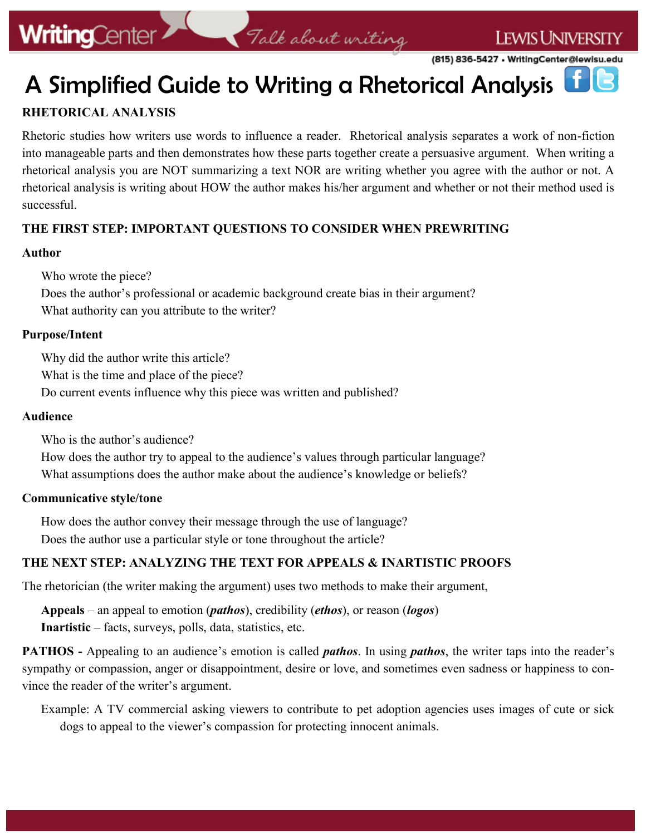(815) 836-5427 • WritingCenter@lewisu.edu

# A Simplified Guide to Writing a Rhetorical Analysis

### **RHETORICAL ANALYSIS**

Rhetoric studies how writers use words to influence a reader. Rhetorical analysis separates a work of non-fiction into manageable parts and then demonstrates how these parts together create a persuasive argument. When writing a rhetorical analysis you are NOT summarizing a text NOR are writing whether you agree with the author or not. A rhetorical analysis is writing about HOW the author makes his/her argument and whether or not their method used is successful.

Talk about writing

#### **THE FIRST STEP: IMPORTANT QUESTIONS TO CONSIDER WHEN PREWRITING**

#### **Author**

Who wrote the piece?

Does the author's professional or academic background create bias in their argument? What authority can you attribute to the writer?

#### **Purpose/Intent**

Why did the author write this article? What is the time and place of the piece? Do current events influence why this piece was written and published?

#### **Audience**

Who is the author's audience? How does the author try to appeal to the audience's values through particular language? What assumptions does the author make about the audience's knowledge or beliefs?

#### **Communicative style/tone**

How does the author convey their message through the use of language? Does the author use a particular style or tone throughout the article?

#### **THE NEXT STEP: ANALYZING THE TEXT FOR APPEALS & INARTISTIC PROOFS**

The rhetorician (the writer making the argument) uses two methods to make their argument,

**Appeals** – an appeal to emotion (*pathos*), credibility (*ethos*), or reason (*logos*) **Inartistic** – facts, surveys, polls, data, statistics, etc.

**PATHOS -** Appealing to an audience's emotion is called *pathos*. In using *pathos*, the writer taps into the reader's sympathy or compassion, anger or disappointment, desire or love, and sometimes even sadness or happiness to convince the reader of the writer's argument.

Example: A TV commercial asking viewers to contribute to pet adoption agencies uses images of cute or sick dogs to appeal to the viewer's compassion for protecting innocent animals.